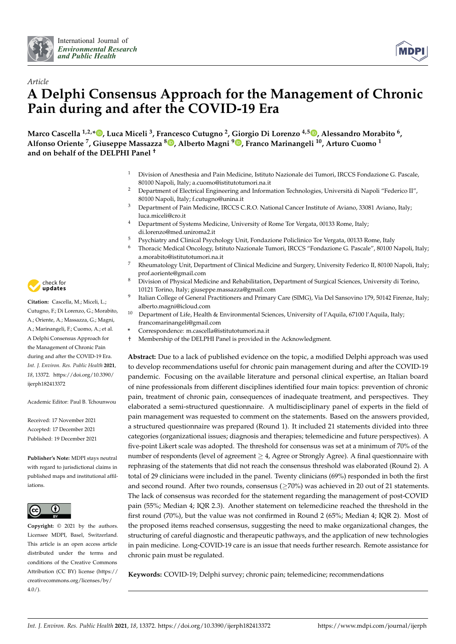



# *Article* **A Delphi Consensus Approach for the Management of Chronic Pain during and after the COVID-19 Era**

**Marco Cascella 1,2,[\\*](https://orcid.org/0000-0002-5236-3132) , Luca Miceli <sup>3</sup> , Francesco Cutugno <sup>2</sup> , Giorgio Di Lorenzo 4,5 [,](https://orcid.org/0000-0002-0576-4064) Alessandro Morabito <sup>6</sup> , Alfonso Oriente <sup>7</sup> , Giuseppe Massazza <sup>8</sup> [,](https://orcid.org/0000-0002-4931-7717) Alberto Magni <sup>9</sup> [,](https://orcid.org/0000-0002-1319-9608) Franco Marinangeli <sup>10</sup>, Arturo Cuomo <sup>1</sup> and on behalf of the DELPHI Panel †**

- <sup>1</sup> Division of Anesthesia and Pain Medicine, Istituto Nazionale dei Tumori, IRCCS Fondazione G. Pascale, 80100 Napoli, Italy; a.cuomo@istitutotumori.na.it
- <sup>2</sup> Department of Electrical Engineering and Information Technologies, Università di Napoli "Federico II", 80100 Napoli, Italy; f.cutugno@unina.it
- <sup>3</sup> Department of Pain Medicine, IRCCS C.R.O. National Cancer Institute of Aviano, 33081 Aviano, Italy; luca.miceli@cro.it
- <sup>4</sup> Department of Systems Medicine, University of Rome Tor Vergata, 00133 Rome, Italy; di.lorenzo@med.uniroma2.it
- <sup>5</sup> Psychiatry and Clinical Psychology Unit, Fondazione Policlinico Tor Vergata, 00133 Rome, Italy
- <sup>6</sup> Thoracic Medical Oncology, Istituto Nazionale Tumori, IRCCS "Fondazione G. Pascale", 80100 Napoli, Italy; a.morabito@istitutotumori.na.it
- <sup>7</sup> Rheumatology Unit, Department of Clinical Medicine and Surgery, University Federico II, 80100 Napoli, Italy; prof.aoriente@gmail.com
- <sup>8</sup> Division of Physical Medicine and Rehabilitation, Department of Surgical Sciences, University di Torino, 10121 Torino, Italy; giuseppe.massazza@gmail.com
- 9 Italian College of General Practitioners and Primary Care (SIMG), Via Del Sansovino 179, 50142 Firenze, Italy; alberto.magni@icloud.com
- Department of Life, Health & Environmental Sciences, University of l'Aquila, 67100 l'Aquila, Italy; francomarinangeli@gmail.com
- **\*** Correspondence: m.cascella@istitutotumori.na.it
- † Membership of the DELPHI Panel is provided in the Acknowledgment.

**Abstract:** Due to a lack of published evidence on the topic, a modified Delphi approach was used to develop recommendations useful for chronic pain management during and after the COVID-19 pandemic. Focusing on the available literature and personal clinical expertise, an Italian board of nine professionals from different disciplines identified four main topics: prevention of chronic pain, treatment of chronic pain, consequences of inadequate treatment, and perspectives. They elaborated a semi-structured questionnaire. A multidisciplinary panel of experts in the field of pain management was requested to comment on the statements. Based on the answers provided, a structured questionnaire was prepared (Round 1). It included 21 statements divided into three categories (organizational issues; diagnosis and therapies; telemedicine and future perspectives). A five-point Likert scale was adopted. The threshold for consensus was set at a minimum of 70% of the number of respondents (level of agreement  $\geq 4$ , Agree or Strongly Agree). A final questionnaire with rephrasing of the statements that did not reach the consensus threshold was elaborated (Round 2). A total of 29 clinicians were included in the panel. Twenty clinicians (69%) responded in both the first and second round. After two rounds, consensus ( $\geq$ 70%) was achieved in 20 out of 21 statements. The lack of consensus was recorded for the statement regarding the management of post-COVID pain (55%; Median 4; IQR 2.3). Another statement on telemedicine reached the threshold in the first round (70%), but the value was not confirmed in Round 2 (65%; Median 4; IQR 2). Most of the proposed items reached consensus, suggesting the need to make organizational changes, the structuring of careful diagnostic and therapeutic pathways, and the application of new technologies in pain medicine. Long-COVID-19 care is an issue that needs further research. Remote assistance for chronic pain must be regulated.

**Keywords:** COVID-19; Delphi survey; chronic pain; telemedicine; recommendations



**Citation:** Cascella, M.; Miceli, L.; Cutugno, F.; Di Lorenzo, G.; Morabito, A.; Oriente, A.; Massazza, G.; Magni, A.; Marinangeli, F.; Cuomo, A.; et al. A Delphi Consensus Approach for the Management of Chronic Pain during and after the COVID-19 Era. *Int. J. Environ. Res. Public Health* **2021**, *18*, 13372. [https://doi.org/10.3390/](https://doi.org/10.3390/ijerph182413372) [ijerph182413372](https://doi.org/10.3390/ijerph182413372)

Academic Editor: Paul B. Tchounwou

Received: 17 November 2021 Accepted: 17 December 2021 Published: 19 December 2021

**Publisher's Note:** MDPI stays neutral with regard to jurisdictional claims in published maps and institutional affiliations.



**Copyright:** © 2021 by the authors. Licensee MDPI, Basel, Switzerland. This article is an open access article distributed under the terms and conditions of the Creative Commons Attribution (CC BY) license (https:/[/](https://creativecommons.org/licenses/by/4.0/) [creativecommons.org/licenses/by/](https://creativecommons.org/licenses/by/4.0/) 4.0/).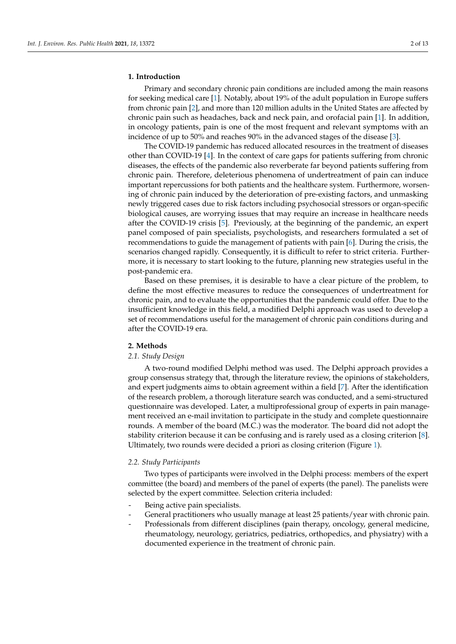#### **1. Introduction**

Primary and secondary chronic pain conditions are included among the main reasons for seeking medical care [\[1\]](#page-11-0). Notably, about 19% of the adult population in Europe suffers from chronic pain [\[2\]](#page-11-1), and more than 120 million adults in the United States are affected by chronic pain such as headaches, back and neck pain, and orofacial pain [\[1\]](#page-11-0). In addition, in oncology patients, pain is one of the most frequent and relevant symptoms with an incidence of up to 50% and reaches 90% in the advanced stages of the disease [\[3\]](#page-11-2).

The COVID-19 pandemic has reduced allocated resources in the treatment of diseases other than COVID-19 [\[4\]](#page-11-3). In the context of care gaps for patients suffering from chronic diseases, the effects of the pandemic also reverberate far beyond patients suffering from chronic pain. Therefore, deleterious phenomena of undertreatment of pain can induce important repercussions for both patients and the healthcare system. Furthermore, worsening of chronic pain induced by the deterioration of pre-existing factors, and unmasking newly triggered cases due to risk factors including psychosocial stressors or organ-specific biological causes, are worrying issues that may require an increase in healthcare needs after the COVID-19 crisis [\[5\]](#page-11-4). Previously, at the beginning of the pandemic, an expert panel composed of pain specialists, psychologists, and researchers formulated a set of recommendations to guide the management of patients with pain [\[6\]](#page-11-5). During the crisis, the scenarios changed rapidly. Consequently, it is difficult to refer to strict criteria. Furthermore, it is necessary to start looking to the future, planning new strategies useful in the post-pandemic era.

Based on these premises, it is desirable to have a clear picture of the problem, to define the most effective measures to reduce the consequences of undertreatment for chronic pain, and to evaluate the opportunities that the pandemic could offer. Due to the insufficient knowledge in this field, a modified Delphi approach was used to develop a set of recommendations useful for the management of chronic pain conditions during and after the COVID-19 era.

# **2. Methods**

# *2.1. Study Design*

A two-round modified Delphi method was used. The Delphi approach provides a group consensus strategy that, through the literature review, the opinions of stakeholders, and expert judgments aims to obtain agreement within a field [\[7\]](#page-11-6). After the identification of the research problem, a thorough literature search was conducted, and a semi-structured questionnaire was developed. Later, a multiprofessional group of experts in pain management received an e-mail invitation to participate in the study and complete questionnaire rounds. A member of the board (M.C.) was the moderator. The board did not adopt the stability criterion because it can be confusing and is rarely used as a closing criterion [\[8\]](#page-11-7). Ultimately, two rounds were decided a priori as closing criterion (Figure [1\)](#page-2-0).

#### *2.2. Study Participants*

Two types of participants were involved in the Delphi process: members of the expert committee (the board) and members of the panel of experts (the panel). The panelists were selected by the expert committee. Selection criteria included:

- Being active pain specialists.
- General practitioners who usually manage at least 25 patients/year with chronic pain.
- Professionals from different disciplines (pain therapy, oncology, general medicine, rheumatology, neurology, geriatrics, pediatrics, orthopedics, and physiatry) with a documented experience in the treatment of chronic pain.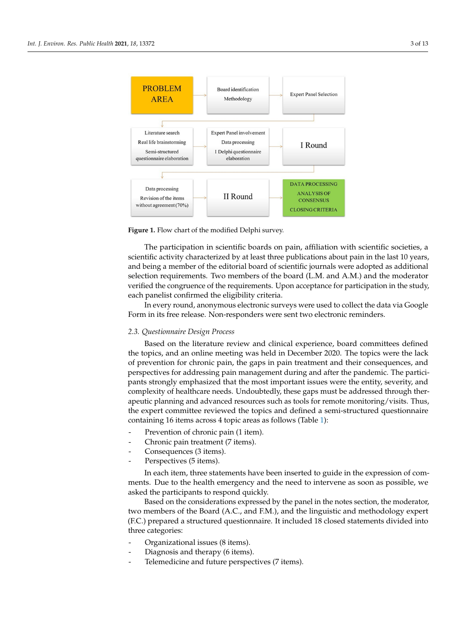<span id="page-2-0"></span>

**Figure 1.** Flow chart of the modified Delphi survey**. Figure 1.** Flow chart of the modified Delphi survey.

*2.2. Study Participants*  The participation in scientific boards on pain, affiliation with scientific societies, a and being a member of the editorial board of scientific journals were adopted as additional selection requirements. Two members of the board (L.M. and A.M.) and the moderator verified the congruence of the requirements. Upon acceptance for participation in the study, each panelist confirmed the eligibility criteria. scientific activity characterized by at least three publications about pain in the last 10 years,

In every round, anonymous electronic surveys were used to collect the data via Google Form in its free release. Non-responders were sent two electronic reminders.

# documented experience in the treatment of chronic pain. *2.3. Questionnaire Design Process*

Based on the literature review and clinical experience, board committees defined the topics, and an online meeting was held in December 2020. The topics were the lack of prevention for chronic pain, the gaps in pain treatment and their consequences, and perspectives for addressing pain management during and after the pandemic. The participants strongly emphasized that the most important issues were the entity, severity, and complexity of healthcare needs. Undoubtedly, these gaps must be addressed through therapeutic planning and advanced resources such as tools for remote monitoring/visits. Thus, the expert committee reviewed the topics and defined a semi-structured questionnaire containing 16 items across 4 topic areas as follows (Table [1\)](#page-5-0):

- *2.3. Prevention of chronic pain (1 item).*
- Chronic pain treatment (7 items).
- topics, and an online method in  $(3 \text{ items}).$
- $\frac{1}{2}$  energies parameters in paint and the gap in pair treatment and per-Perspectives (5 items).

In each item, three statements have been inserted to guide in the expression of comments. Due to the health emergency and the need to intervene as soon as possible, we asked the participants to respond quickly.

Based on the considerations expressed by the panel in the notes section, the moderator, two members of the Board (A.C., and F.M.), and the linguistic and methodology expert (F.C.) prepared a structured questionnaire. It included 18 closed statements divided into - Prevention of chronic pain (1 item). three categories:

- Organizational issues (8 items).
- Diagnosis and therapy (6 items).
- Telemedicine and future perspectives (7 items).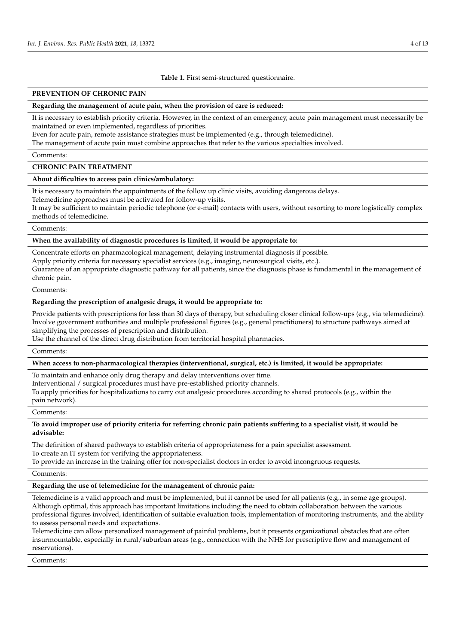#### **Table 1.** First semi-structured questionnaire.

# **PREVENTION OF CHRONIC PAIN**

#### **Regarding the management of acute pain, when the provision of care is reduced:**

It is necessary to establish priority criteria. However, in the context of an emergency, acute pain management must necessarily be maintained or even implemented, regardless of priorities.

Even for acute pain, remote assistance strategies must be implemented (e.g., through telemedicine).

The management of acute pain must combine approaches that refer to the various specialties involved.

Comments:

#### **CHRONIC PAIN TREATMENT**

#### **About difficulties to access pain clinics/ambulatory:**

It is necessary to maintain the appointments of the follow up clinic visits, avoiding dangerous delays.

Telemedicine approaches must be activated for follow-up visits.

It may be sufficient to maintain periodic telephone (or e-mail) contacts with users, without resorting to more logistically complex methods of telemedicine.

### Comments:

# **When the availability of diagnostic procedures is limited, it would be appropriate to:**

Concentrate efforts on pharmacological management, delaying instrumental diagnosis if possible.

Apply priority criteria for necessary specialist services (e.g., imaging, neurosurgical visits, etc.).

Guarantee of an appropriate diagnostic pathway for all patients, since the diagnosis phase is fundamental in the management of chronic pain.

### Comments:

### **Regarding the prescription of analgesic drugs, it would be appropriate to:**

Provide patients with prescriptions for less than 30 days of therapy, but scheduling closer clinical follow-ups (e.g., via telemedicine). Involve government authorities and multiple professional figures (e.g., general practitioners) to structure pathways aimed at simplifying the processes of prescription and distribution.

Use the channel of the direct drug distribution from territorial hospital pharmacies.

Comments:

# **When access to non-pharmacological therapies (interventional, surgical, etc.) is limited, it would be appropriate:**

To maintain and enhance only drug therapy and delay interventions over time.

Interventional / surgical procedures must have pre-established priority channels.

To apply priorities for hospitalizations to carry out analgesic procedures according to shared protocols (e.g., within the pain network).

#### Comments:

# **To avoid improper use of priority criteria for referring chronic pain patients suffering to a specialist visit, it would be advisable:**

The definition of shared pathways to establish criteria of appropriateness for a pain specialist assessment. To create an IT system for verifying the appropriateness.

To provide an increase in the training offer for non-specialist doctors in order to avoid incongruous requests.

Comments:

#### **Regarding the use of telemedicine for the management of chronic pain:**

Telemedicine is a valid approach and must be implemented, but it cannot be used for all patients (e.g., in some age groups). Although optimal, this approach has important limitations including the need to obtain collaboration between the various professional figures involved, identification of suitable evaluation tools, implementation of monitoring instruments, and the ability to assess personal needs and expectations.

Telemedicine can allow personalized management of painful problems, but it presents organizational obstacles that are often insurmountable, especially in rural/suburban areas (e.g., connection with the NHS for prescriptive flow and management of reservations).

Comments: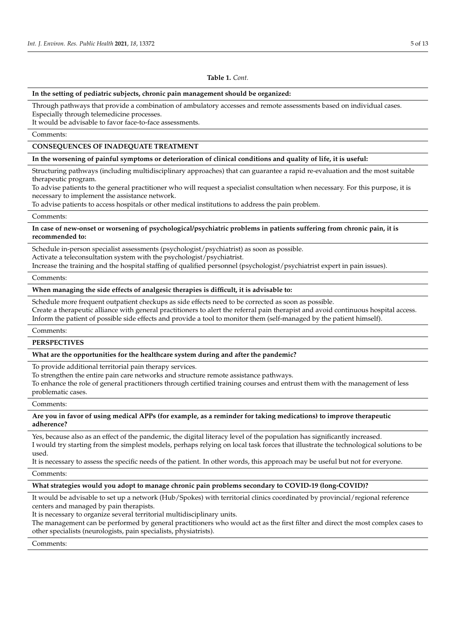#### **Table 1.** *Cont.*

# **In the setting of pediatric subjects, chronic pain management should be organized:**

Through pathways that provide a combination of ambulatory accesses and remote assessments based on individual cases. Especially through telemedicine processes.

It would be advisable to favor face-to-face assessments.

Comments:

# **CONSEQUENCES OF INADEQUATE TREATMENT**

**In the worsening of painful symptoms or deterioration of clinical conditions and quality of life, it is useful:**

Structuring pathways (including multidisciplinary approaches) that can guarantee a rapid re-evaluation and the most suitable therapeutic program.

To advise patients to the general practitioner who will request a specialist consultation when necessary. For this purpose, it is necessary to implement the assistance network.

To advise patients to access hospitals or other medical institutions to address the pain problem.

#### Comments:

# **In case of new-onset or worsening of psychological/psychiatric problems in patients suffering from chronic pain, it is recommended to:**

Schedule in-person specialist assessments (psychologist/psychiatrist) as soon as possible.

Activate a teleconsultation system with the psychologist/psychiatrist.

Increase the training and the hospital staffing of qualified personnel (psychologist/psychiatrist expert in pain issues).

#### Comments:

# **When managing the side effects of analgesic therapies is difficult, it is advisable to:**

Schedule more frequent outpatient checkups as side effects need to be corrected as soon as possible.

Create a therapeutic alliance with general practitioners to alert the referral pain therapist and avoid continuous hospital access. Inform the patient of possible side effects and provide a tool to monitor them (self-managed by the patient himself).

Comments:

#### **PERSPECTIVES**

# **What are the opportunities for the healthcare system during and after the pandemic?**

To provide additional territorial pain therapy services.

To strengthen the entire pain care networks and structure remote assistance pathways.

To enhance the role of general practitioners through certified training courses and entrust them with the management of less problematic cases.

#### Comments:

# **Are you in favor of using medical APPs (for example, as a reminder for taking medications) to improve therapeutic adherence?**

Yes, because also as an effect of the pandemic, the digital literacy level of the population has significantly increased. I would try starting from the simplest models, perhaps relying on local task forces that illustrate the technological solutions to be used.

It is necessary to assess the specific needs of the patient. In other words, this approach may be useful but not for everyone.

#### Comments:

#### **What strategies would you adopt to manage chronic pain problems secondary to COVID-19 (long-COVID)?**

It would be advisable to set up a network (Hub/Spokes) with territorial clinics coordinated by provincial/regional reference centers and managed by pain therapists.

It is necessary to organize several territorial multidisciplinary units.

The management can be performed by general practitioners who would act as the first filter and direct the most complex cases to other specialists (neurologists, pain specialists, physiatrists).

Comments: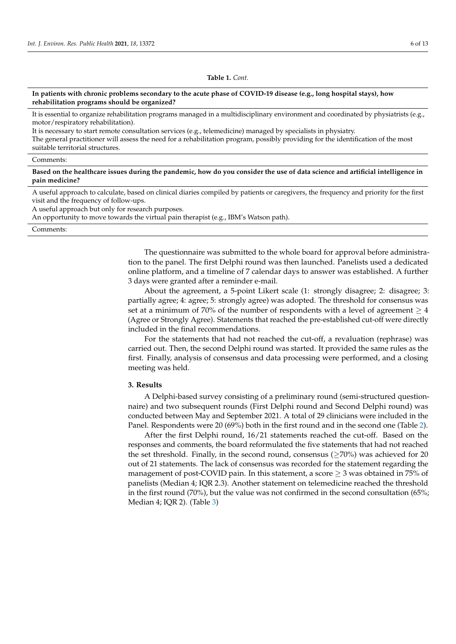#### **Table 1.** *Cont.*

# <span id="page-5-0"></span>**In patients with chronic problems secondary to the acute phase of COVID-19 disease (e.g., long hospital stays), how rehabilitation programs should be organized?**

It is essential to organize rehabilitation programs managed in a multidisciplinary environment and coordinated by physiatrists (e.g., motor/respiratory rehabilitation).

It is necessary to start remote consultation services (e.g., telemedicine) managed by specialists in physiatry.

The general practitioner will assess the need for a rehabilitation program, possibly providing for the identification of the most suitable territorial structures.

# Comments:

**Based on the healthcare issues during the pandemic, how do you consider the use of data science and artificial intelligence in pain medicine?**

A useful approach to calculate, based on clinical diaries compiled by patients or caregivers, the frequency and priority for the first visit and the frequency of follow-ups.

A useful approach but only for research purposes.

An opportunity to move towards the virtual pain therapist (e.g., IBM's Watson path).

#### Comments:

The questionnaire was submitted to the whole board for approval before administration to the panel. The first Delphi round was then launched. Panelists used a dedicated online platform, and a timeline of 7 calendar days to answer was established. A further 3 days were granted after a reminder e-mail.

About the agreement, a 5-point Likert scale (1: strongly disagree; 2: disagree; 3: partially agree; 4: agree; 5: strongly agree) was adopted. The threshold for consensus was set at a minimum of 70% of the number of respondents with a level of agreement  $\geq 4$ (Agree or Strongly Agree). Statements that reached the pre-established cut-off were directly included in the final recommendations.

For the statements that had not reached the cut-off, a revaluation (rephrase) was carried out. Then, the second Delphi round was started. It provided the same rules as the first. Finally, analysis of consensus and data processing were performed, and a closing meeting was held.

# **3. Results**

A Delphi-based survey consisting of a preliminary round (semi-structured questionnaire) and two subsequent rounds (First Delphi round and Second Delphi round) was conducted between May and September 2021. A total of 29 clinicians were included in the Panel. Respondents were 20 (69%) both in the first round and in the second one (Table [2\)](#page-6-0).

After the first Delphi round, 16/21 statements reached the cut-off. Based on the responses and comments, the board reformulated the five statements that had not reached the set threshold. Finally, in the second round, consensus ( $\geq$ 70%) was achieved for 20 out of 21 statements. The lack of consensus was recorded for the statement regarding the management of post-COVID pain. In this statement, a score  $\geq$  3 was obtained in 75% of panelists (Median 4; IQR 2.3). Another statement on telemedicine reached the threshold in the first round (70%), but the value was not confirmed in the second consultation (65%; Median 4; IQR 2). (Table [3\)](#page-7-0)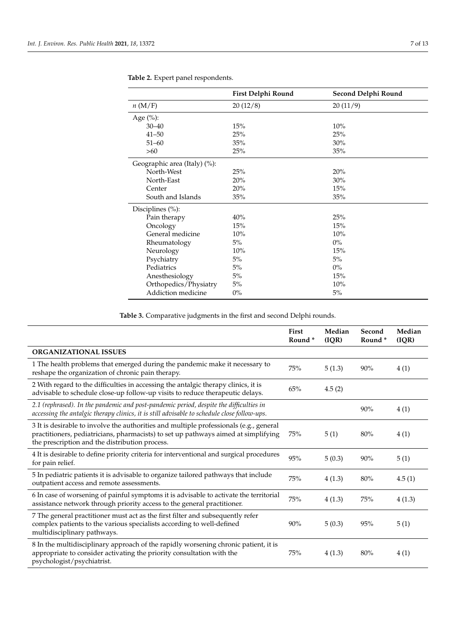|                              | First Delphi Round | Second Delphi Round |
|------------------------------|--------------------|---------------------|
| n(M/F)                       | 20(12/8)           | 20(11/9)            |
| Age $(\%):$                  |                    |                     |
| $30 - 40$                    | 15%                | 10%                 |
| $41 - 50$                    | 25%                | 25%                 |
| $51 - 60$                    | 35%                | 30%                 |
| $>60$                        | 25%                | 35%                 |
| Geographic area (Italy) (%): |                    |                     |
| North-West                   | 25%                | 20%                 |
| North-East                   | 20%                | 30%                 |
| Center                       | 20%                | 15%                 |
| South and Islands            | 35%                | 35%                 |
| Disciplines $(\%)$ :         |                    |                     |
| Pain therapy                 | 40%                | 25%                 |
| Oncology                     | 15%                | 15%                 |
| General medicine             | 10%                | 10%                 |
| Rheumatology                 | 5%                 | $0\%$               |
| Neurology                    | 10%                | 15%                 |
| Psychiatry                   | 5%                 | 5%                  |
| Pediatrics                   | 5%                 | $0\%$               |
| Anesthesiology               | 5%                 | 15%                 |
| Orthopedics/Physiatry        | 5%                 | 10%                 |
| Addiction medicine           | $0\%$              | 5%                  |

<span id="page-6-0"></span>**Table 2.** Expert panel respondents.

**Table 3.** Comparative judgments in the first and second Delphi rounds.

|                                                                                                                                                                                                                                | First<br>Round <sup>*</sup> | Median<br>(IQR) | Second<br>Round <sup>*</sup> | Median<br>(IQR) |
|--------------------------------------------------------------------------------------------------------------------------------------------------------------------------------------------------------------------------------|-----------------------------|-----------------|------------------------------|-----------------|
| <b>ORGANIZATIONAL ISSUES</b>                                                                                                                                                                                                   |                             |                 |                              |                 |
| 1 The health problems that emerged during the pandemic make it necessary to<br>reshape the organization of chronic pain therapy.                                                                                               | 75%                         | 5(1.3)          | 90%                          | 4(1)            |
| 2 With regard to the difficulties in accessing the antalgic therapy clinics, it is<br>advisable to schedule close-up follow-up visits to reduce therapeutic delays.                                                            | 65%                         | 4.5(2)          |                              |                 |
| 2.1 (rephrased). In the pandemic and post-pandemic period, despite the difficulties in<br>accessing the antalgic therapy clinics, it is still advisable to schedule close follow-ups.                                          |                             |                 | 90%                          | 4(1)            |
| 3 It is desirable to involve the authorities and multiple professionals (e.g., general<br>practitioners, pediatricians, pharmacists) to set up pathways aimed at simplifying<br>the prescription and the distribution process. | 75%                         | 5(1)            | 80%                          | 4(1)            |
| 4 It is desirable to define priority criteria for interventional and surgical procedures<br>for pain relief.                                                                                                                   | 95%                         | 5(0.3)          | 90%                          | 5(1)            |
| 5 In pediatric patients it is advisable to organize tailored pathways that include<br>outpatient access and remote assessments.                                                                                                | 75%                         | 4(1.3)          | 80%                          | 4.5(1)          |
| 6 In case of worsening of painful symptoms it is advisable to activate the territorial<br>assistance network through priority access to the general practitioner.                                                              | 75%                         | 4(1.3)          | 75%                          | 4(1.3)          |
| 7 The general practitioner must act as the first filter and subsequently refer<br>complex patients to the various specialists according to well-defined<br>multidisciplinary pathways.                                         | 90%                         | 5(0.3)          | 95%                          | 5(1)            |
| 8 In the multidisciplinary approach of the rapidly worsening chronic patient, it is<br>appropriate to consider activating the priority consultation with the<br>psychologist/psychiatrist.                                     | 75%                         | 4(1.3)          | 80%                          | 4(1)            |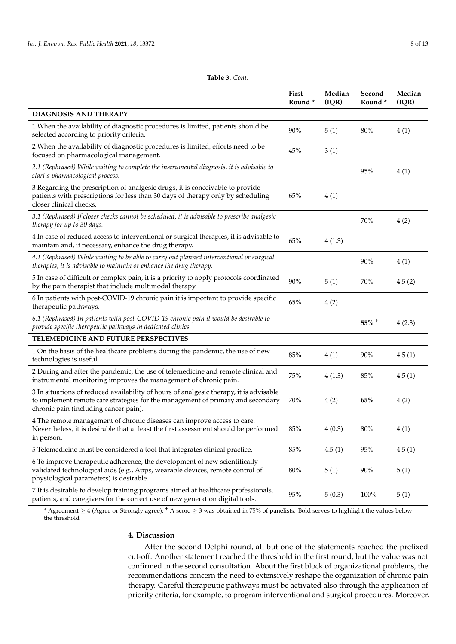<span id="page-7-0"></span>

|                                                                                                                                                                                                                    | First<br>Round* | Median<br>(IQR) | Second<br>Round* | Median<br>(IQR) |
|--------------------------------------------------------------------------------------------------------------------------------------------------------------------------------------------------------------------|-----------------|-----------------|------------------|-----------------|
| <b>DIAGNOSIS AND THERAPY</b>                                                                                                                                                                                       |                 |                 |                  |                 |
| 1 When the availability of diagnostic procedures is limited, patients should be<br>selected according to priority criteria.                                                                                        | 90%             | 5(1)            | 80%              | 4(1)            |
| 2 When the availability of diagnostic procedures is limited, efforts need to be<br>focused on pharmacological management.                                                                                          | 45%             | 3(1)            |                  |                 |
| 2.1 (Rephrased) While waiting to complete the instrumental diagnosis, it is advisable to<br>start a pharmacological process.                                                                                       |                 |                 | 95%              | 4(1)            |
| 3 Regarding the prescription of analgesic drugs, it is conceivable to provide<br>patients with prescriptions for less than 30 days of therapy only by scheduling<br>closer clinical checks.                        | 65%             | 4(1)            |                  |                 |
| 3.1 (Rephrased) If closer checks cannot be scheduled, it is advisable to prescribe analgesic<br>therapy for up to 30 days.                                                                                         |                 |                 | 70%              | 4(2)            |
| 4 In case of reduced access to interventional or surgical therapies, it is advisable to<br>maintain and, if necessary, enhance the drug therapy.                                                                   | 65%             | 4(1.3)          |                  |                 |
| 4.1 (Rephrased) While waiting to be able to carry out planned interventional or surgical<br>therapies, it is advisable to maintain or enhance the drug therapy.                                                    |                 |                 | 90%              | 4(1)            |
| 5 In case of difficult or complex pain, it is a priority to apply protocols coordinated<br>by the pain therapist that include multimodal therapy.                                                                  | 90%             | 5(1)            | 70%              | 4.5(2)          |
| 6 In patients with post-COVID-19 chronic pain it is important to provide specific<br>therapeutic pathways.                                                                                                         | 65%             | 4(2)            |                  |                 |
| 6.1 (Rephrased) In patients with post-COVID-19 chronic pain it would be desirable to<br>provide specific therapeutic pathways in dedicated clinics.                                                                |                 |                 | $55\%$ +         | 4(2.3)          |
| TELEMEDICINE AND FUTURE PERSPECTIVES                                                                                                                                                                               |                 |                 |                  |                 |
| 1 On the basis of the healthcare problems during the pandemic, the use of new<br>technologies is useful.                                                                                                           | 85%             | 4(1)            | 90%              | 4.5(1)          |
| 2 During and after the pandemic, the use of telemedicine and remote clinical and<br>instrumental monitoring improves the management of chronic pain.                                                               | 75%             | 4(1.3)          | 85%              | 4.5(1)          |
| 3 In situations of reduced availability of hours of analgesic therapy, it is advisable<br>to implement remote care strategies for the management of primary and secondary<br>chronic pain (including cancer pain). | 70%             | 4(2)            | 65%              | 4(2)            |
| 4 The remote management of chronic diseases can improve access to care.<br>Nevertheless, it is desirable that at least the first assessment should be performed<br>in person.                                      | $85\%$          | 4(0.3)          | $80\%$           | 4(1)            |
| 5 Telemedicine must be considered a tool that integrates clinical practice.                                                                                                                                        | 85%             | 4.5(1)          | $95\%$           | 4.5(1)          |
| 6 To improve therapeutic adherence, the development of new scientifically<br>validated technological aids (e.g., Apps, wearable devices, remote control of<br>physiological parameters) is desirable.              | 80%             | 5(1)            | 90%              | 5(1)            |
| 7 It is desirable to develop training programs aimed at healthcare professionals,<br>patients, and caregivers for the correct use of new generation digital tools.                                                 | 95%             | 5(0.3)          | 100%             | 5(1)            |

**Table 3.** *Cont.*

\* Agreement ≥ 4 (Agree or Strongly agree); † A score ≥ 3 was obtained in 75% of panelists. Bold serves to highlight the values below the threshold

# **4. Discussion**

After the second Delphi round, all but one of the statements reached the prefixed cut-off. Another statement reached the threshold in the first round, but the value was not confirmed in the second consultation. About the first block of organizational problems, the recommendations concern the need to extensively reshape the organization of chronic pain therapy. Careful therapeutic pathways must be activated also through the application of priority criteria, for example, to program interventional and surgical procedures. Moreover,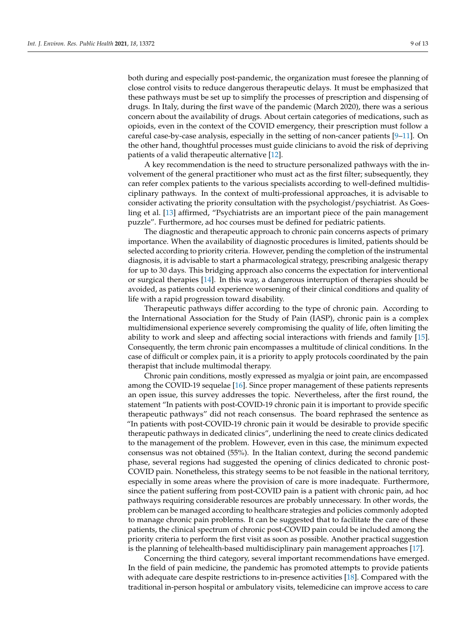both during and especially post-pandemic, the organization must foresee the planning of close control visits to reduce dangerous therapeutic delays. It must be emphasized that these pathways must be set up to simplify the processes of prescription and dispensing of drugs. In Italy, during the first wave of the pandemic (March 2020), there was a serious concern about the availability of drugs. About certain categories of medications, such as opioids, even in the context of the COVID emergency, their prescription must follow a careful case-by-case analysis, especially in the setting of non-cancer patients  $[9-11]$  $[9-11]$ . On the other hand, thoughtful processes must guide clinicians to avoid the risk of depriving patients of a valid therapeutic alternative [\[12\]](#page-11-10).

A key recommendation is the need to structure personalized pathways with the involvement of the general practitioner who must act as the first filter; subsequently, they can refer complex patients to the various specialists according to well-defined multidisciplinary pathways. In the context of multi-professional approaches, it is advisable to consider activating the priority consultation with the psychologist/psychiatrist. As Goesling et al. [\[13\]](#page-11-11) affirmed, "Psychiatrists are an important piece of the pain management puzzle". Furthermore, ad hoc courses must be defined for pediatric patients.

The diagnostic and therapeutic approach to chronic pain concerns aspects of primary importance. When the availability of diagnostic procedures is limited, patients should be selected according to priority criteria. However, pending the completion of the instrumental diagnosis, it is advisable to start a pharmacological strategy, prescribing analgesic therapy for up to 30 days. This bridging approach also concerns the expectation for interventional or surgical therapies [\[14\]](#page-12-0). In this way, a dangerous interruption of therapies should be avoided, as patients could experience worsening of their clinical conditions and quality of life with a rapid progression toward disability.

Therapeutic pathways differ according to the type of chronic pain. According to the International Association for the Study of Pain (IASP), chronic pain is a complex multidimensional experience severely compromising the quality of life, often limiting the ability to work and sleep and affecting social interactions with friends and family [\[15\]](#page-12-1). Consequently, the term chronic pain encompasses a multitude of clinical conditions. In the case of difficult or complex pain, it is a priority to apply protocols coordinated by the pain therapist that include multimodal therapy.

Chronic pain conditions, mostly expressed as myalgia or joint pain, are encompassed among the COVID-19 sequelae [\[16\]](#page-12-2). Since proper management of these patients represents an open issue, this survey addresses the topic. Nevertheless, after the first round, the statement "In patients with post-COVID-19 chronic pain it is important to provide specific therapeutic pathways" did not reach consensus. The board rephrased the sentence as "In patients with post-COVID-19 chronic pain it would be desirable to provide specific therapeutic pathways in dedicated clinics", underlining the need to create clinics dedicated to the management of the problem. However, even in this case, the minimum expected consensus was not obtained (55%). In the Italian context, during the second pandemic phase, several regions had suggested the opening of clinics dedicated to chronic post-COVID pain. Nonetheless, this strategy seems to be not feasible in the national territory, especially in some areas where the provision of care is more inadequate. Furthermore, since the patient suffering from post-COVID pain is a patient with chronic pain, ad hoc pathways requiring considerable resources are probably unnecessary. In other words, the problem can be managed according to healthcare strategies and policies commonly adopted to manage chronic pain problems. It can be suggested that to facilitate the care of these patients, the clinical spectrum of chronic post-COVID pain could be included among the priority criteria to perform the first visit as soon as possible. Another practical suggestion is the planning of telehealth-based multidisciplinary pain management approaches [\[17\]](#page-12-3).

Concerning the third category, several important recommendations have emerged. In the field of pain medicine, the pandemic has promoted attempts to provide patients with adequate care despite restrictions to in-presence activities [\[18\]](#page-12-4). Compared with the traditional in-person hospital or ambulatory visits, telemedicine can improve access to care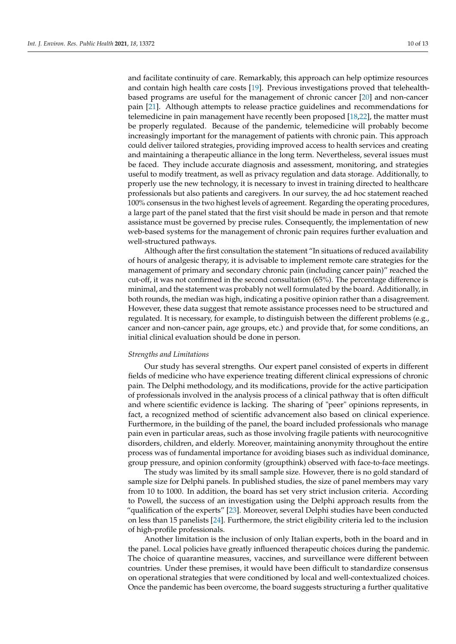and facilitate continuity of care. Remarkably, this approach can help optimize resources and contain high health care costs [\[19\]](#page-12-5). Previous investigations proved that telehealthbased programs are useful for the management of chronic cancer [\[20\]](#page-12-6) and non-cancer pain [\[21\]](#page-12-7). Although attempts to release practice guidelines and recommendations for telemedicine in pain management have recently been proposed [\[18](#page-12-4)[,22\]](#page-12-8), the matter must be properly regulated. Because of the pandemic, telemedicine will probably become increasingly important for the management of patients with chronic pain. This approach could deliver tailored strategies, providing improved access to health services and creating and maintaining a therapeutic alliance in the long term. Nevertheless, several issues must be faced. They include accurate diagnosis and assessment, monitoring, and strategies useful to modify treatment, as well as privacy regulation and data storage. Additionally, to properly use the new technology, it is necessary to invest in training directed to healthcare professionals but also patients and caregivers. In our survey, the ad hoc statement reached 100% consensus in the two highest levels of agreement. Regarding the operating procedures, a large part of the panel stated that the first visit should be made in person and that remote assistance must be governed by precise rules. Consequently, the implementation of new web-based systems for the management of chronic pain requires further evaluation and well-structured pathways.

Although after the first consultation the statement "In situations of reduced availability of hours of analgesic therapy, it is advisable to implement remote care strategies for the management of primary and secondary chronic pain (including cancer pain)" reached the cut-off, it was not confirmed in the second consultation (65%). The percentage difference is minimal, and the statement was probably not well formulated by the board. Additionally, in both rounds, the median was high, indicating a positive opinion rather than a disagreement. However, these data suggest that remote assistance processes need to be structured and regulated. It is necessary, for example, to distinguish between the different problems (e.g., cancer and non-cancer pain, age groups, etc.) and provide that, for some conditions, an initial clinical evaluation should be done in person.

### *Strengths and Limitations*

Our study has several strengths. Our expert panel consisted of experts in different fields of medicine who have experience treating different clinical expressions of chronic pain. The Delphi methodology, and its modifications, provide for the active participation of professionals involved in the analysis process of a clinical pathway that is often difficult and where scientific evidence is lacking. The sharing of "peer" opinions represents, in fact, a recognized method of scientific advancement also based on clinical experience. Furthermore, in the building of the panel, the board included professionals who manage pain even in particular areas, such as those involving fragile patients with neurocognitive disorders, children, and elderly. Moreover, maintaining anonymity throughout the entire process was of fundamental importance for avoiding biases such as individual dominance, group pressure, and opinion conformity (groupthink) observed with face-to-face meetings.

The study was limited by its small sample size. However, there is no gold standard of sample size for Delphi panels. In published studies, the size of panel members may vary from 10 to 1000. In addition, the board has set very strict inclusion criteria. According to Powell, the success of an investigation using the Delphi approach results from the "qualification of the experts" [\[23\]](#page-12-9). Moreover, several Delphi studies have been conducted on less than 15 panelists [\[24\]](#page-12-10). Furthermore, the strict eligibility criteria led to the inclusion of high-profile professionals.

Another limitation is the inclusion of only Italian experts, both in the board and in the panel. Local policies have greatly influenced therapeutic choices during the pandemic. The choice of quarantine measures, vaccines, and surveillance were different between countries. Under these premises, it would have been difficult to standardize consensus on operational strategies that were conditioned by local and well-contextualized choices. Once the pandemic has been overcome, the board suggests structuring a further qualitative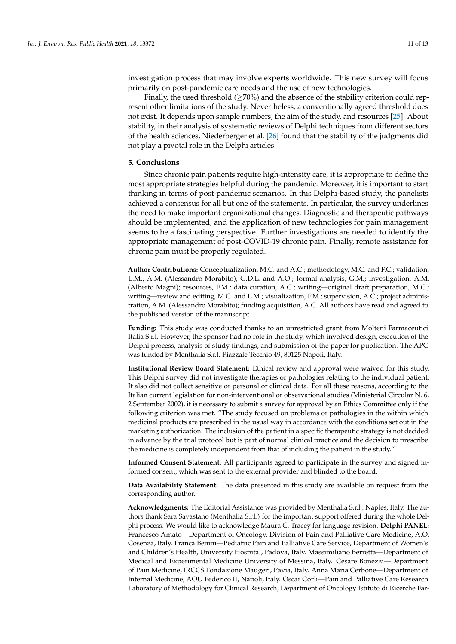investigation process that may involve experts worldwide. This new survey will focus primarily on post-pandemic care needs and the use of new technologies.

Finally, the used threshold ( $\geq$ 70%) and the absence of the stability criterion could represent other limitations of the study. Nevertheless, a conventionally agreed threshold does not exist. It depends upon sample numbers, the aim of the study, and resources [\[25\]](#page-12-11). About stability, in their analysis of systematic reviews of Delphi techniques from different sectors of the health sciences, Niederberger et al. [\[26\]](#page-12-12) found that the stability of the judgments did not play a pivotal role in the Delphi articles.

# **5. Conclusions**

Since chronic pain patients require high-intensity care, it is appropriate to define the most appropriate strategies helpful during the pandemic. Moreover, it is important to start thinking in terms of post-pandemic scenarios. In this Delphi-based study, the panelists achieved a consensus for all but one of the statements. In particular, the survey underlines the need to make important organizational changes. Diagnostic and therapeutic pathways should be implemented, and the application of new technologies for pain management seems to be a fascinating perspective. Further investigations are needed to identify the appropriate management of post-COVID-19 chronic pain. Finally, remote assistance for chronic pain must be properly regulated.

**Author Contributions:** Conceptualization, M.C. and A.C.; methodology, M.C. and F.C.; validation, L.M., A.M. (Alessandro Morabito), G.D.L. and A.O.; formal analysis, G.M.; investigation, A.M. (Alberto Magni); resources, F.M.; data curation, A.C.; writing—original draft preparation, M.C.; writing—review and editing, M.C. and L.M.; visualization, F.M.; supervision, A.C.; project administration, A.M. (Alessandro Morabito); funding acquisition, A.C. All authors have read and agreed to the published version of the manuscript.

**Funding:** This study was conducted thanks to an unrestricted grant from Molteni Farmaceutici Italia S.r.l. However, the sponsor had no role in the study, which involved design, execution of the Delphi process, analysis of study findings, and submission of the paper for publication. The APC was funded by Menthalia S.r.l. Piazzale Tecchio 49, 80125 Napoli, Italy.

**Institutional Review Board Statement:** Ethical review and approval were waived for this study. This Delphi survey did not investigate therapies or pathologies relating to the individual patient. It also did not collect sensitive or personal or clinical data. For all these reasons, according to the Italian current legislation for non-interventional or observational studies (Ministerial Circular N. 6, 2 September 2002), it is necessary to submit a survey for approval by an Ethics Committee only if the following criterion was met. "The study focused on problems or pathologies in the within which medicinal products are prescribed in the usual way in accordance with the conditions set out in the marketing authorization. The inclusion of the patient in a specific therapeutic strategy is not decided in advance by the trial protocol but is part of normal clinical practice and the decision to prescribe the medicine is completely independent from that of including the patient in the study."

**Informed Consent Statement:** All participants agreed to participate in the survey and signed informed consent, which was sent to the external provider and blinded to the board.

**Data Availability Statement:** The data presented in this study are available on request from the corresponding author.

**Acknowledgments:** The Editorial Assistance was provided by Menthalia S.r.l., Naples, Italy. The authors thank Sara Savastano (Menthalia S.r.l.) for the important support offered during the whole Delphi process. We would like to acknowledge Maura C. Tracey for language revision. **Delphi PANEL:** Francesco Amato—Department of Oncology, Division of Pain and Palliative Care Medicine, A.O. Cosenza, Italy. Franca Benini—Pediatric Pain and Palliative Care Service, Department of Women's and Children's Health, University Hospital, Padova, Italy. Massimiliano Berretta—Department of Medical and Experimental Medicine University of Messina, Italy. Cesare Bonezzi—Department of Pain Medicine, IRCCS Fondazione Maugeri, Pavia, Italy. Anna Maria Cerbone—Department of Internal Medicine, AOU Federico II, Napoli, Italy. Oscar Corli—Pain and Palliative Care Research Laboratory of Methodology for Clinical Research, Department of Oncology Istituto di Ricerche Far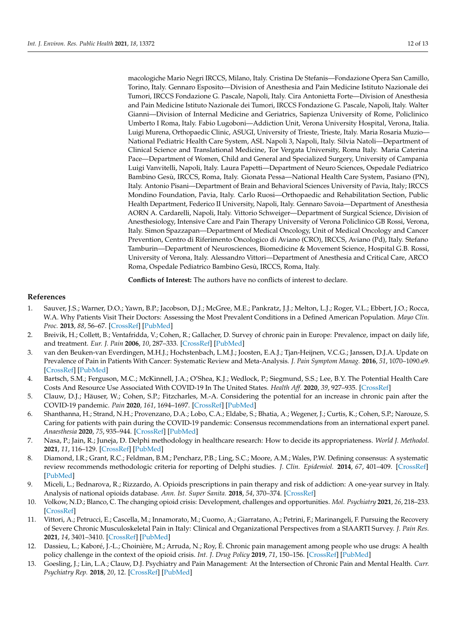macologiche Mario Negri IRCCS, Milano, Italy. Cristina De Stefanis—Fondazione Opera San Camillo, Torino, Italy. Gennaro Esposito—Division of Anesthesia and Pain Medicine Istituto Nazionale dei Tumori, IRCCS Fondazione G. Pascale, Napoli, Italy. Cira Antonietta Forte—Division of Anesthesia and Pain Medicine Istituto Nazionale dei Tumori, IRCCS Fondazione G. Pascale, Napoli, Italy. Walter Gianni—Division of Internal Medicine and Geriatrics, Sapienza University of Rome, Policlinico Umberto I Roma, Italy. Fabio Lugoboni—Addiction Unit, Verona University Hospital, Verona, Italia. Luigi Murena, Orthopaedic Clinic, ASUGI, University of Trieste, Trieste, Italy. Maria Rosaria Muzio— National Pediatric Health Care System, ASL Napoli 3, Napoli, Italy. Silvia Natoli—Department of Clinical Science and Translational Medicine, Tor Vergata University, Roma Italy. Maria Caterina Pace—Department of Women, Child and General and Specialized Surgery, University of Campania Luigi Vanvitelli, Napoli, Italy. Laura Papetti—Department of Neuro Sciences, Ospedale Pediatrico Bambino Gesù, IRCCS, Roma, Italy. Gionata Pessa—National Health Care System, Pasiano (PN), Italy. Antonio Pisani—Department of Brain and Behavioral Sciences University of Pavia, Italy; IRCCS Mondino Foundation, Pavia, Italy. Carlo Ruosi—Orthopaedic and Rehabilitation Section, Public Health Department, Federico II University, Napoli, Italy. Gennaro Savoia—Department of Anesthesia AORN A. Cardarelli, Napoli, Italy. Vittorio Schweiger—Department of Surgical Science, Division of Anesthesiology, Intensive Care and Pain Therapy University of Verona Policlinico GB Rossi, Verona, Italy. Simon Spazzapan—Department of Medical Oncology, Unit of Medical Oncology and Cancer Prevention, Centro di Riferimento Oncologico di Aviano (CRO), IRCCS, Aviano (Pd), Italy. Stefano Tamburin—Department of Neurosciences, Biomedicine & Movement Science, Hospital G.B. Rossi, University of Verona, Italy. Alessandro Vittori—Department of Anesthesia and Critical Care, ARCO Roma, Ospedale Pediatrico Bambino Gesù, IRCCS, Roma, Italy.

**Conflicts of Interest:** The authors have no conflicts of interest to declare.

# **References**

- <span id="page-11-0"></span>1. Sauver, J.S.; Warner, D.O.; Yawn, B.P.; Jacobson, D.J.; McGree, M.E.; Pankratz, J.J.; Melton, L.J.; Roger, V.L.; Ebbert, J.O.; Rocca, W.A. Why Patients Visit Their Doctors: Assessing the Most Prevalent Conditions in a Defined American Population. *Mayo Clin. Proc.* **2013**, *88*, 56–67. [\[CrossRef\]](http://doi.org/10.1016/j.mayocp.2012.08.020) [\[PubMed\]](http://www.ncbi.nlm.nih.gov/pubmed/23274019)
- <span id="page-11-1"></span>2. Breivik, H.; Collett, B.; Ventafridda, V.; Cohen, R.; Gallacher, D. Survey of chronic pain in Europe: Prevalence, impact on daily life, and treatment. *Eur. J. Pain* **2006**, *10*, 287–333. [\[CrossRef\]](http://doi.org/10.1016/j.ejpain.2005.06.009) [\[PubMed\]](http://www.ncbi.nlm.nih.gov/pubmed/16095934)
- <span id="page-11-2"></span>3. van den Beuken-van Everdingen, M.H.J.; Hochstenbach, L.M.J.; Joosten, E.A.J.; Tjan-Heijnen, V.C.G.; Janssen, D.J.A. Update on Prevalence of Pain in Patients With Cancer: Systematic Review and Meta-Analysis. *J. Pain Symptom Manag.* **2016**, *51*, 1070–1090.e9. [\[CrossRef\]](http://doi.org/10.1016/j.jpainsymman.2015.12.340) [\[PubMed\]](http://www.ncbi.nlm.nih.gov/pubmed/27112310)
- <span id="page-11-3"></span>4. Bartsch, S.M.; Ferguson, M.C.; McKinnell, J.A.; O'Shea, K.J.; Wedlock, P.; Siegmund, S.S.; Lee, B.Y. The Potential Health Care Costs And Resource Use Associated With COVID-19 In The United States. *Health Aff.* **2020**, *39*, 927–935. [\[CrossRef\]](http://doi.org/10.1377/hlthaff.2020.00426)
- <span id="page-11-4"></span>5. Clauw, D.J.; Häuser, W.; Cohen, S.P.; Fitzcharles, M.-A. Considering the potential for an increase in chronic pain after the COVID-19 pandemic. *Pain* **2020**, *161*, 1694–1697. [\[CrossRef\]](http://doi.org/10.1097/j.pain.0000000000001950) [\[PubMed\]](http://www.ncbi.nlm.nih.gov/pubmed/32701829)
- <span id="page-11-5"></span>6. Shanthanna, H.; Strand, N.H.; Provenzano, D.A.; Lobo, C.A.; Eldabe, S.; Bhatia, A.; Wegener, J.; Curtis, K.; Cohen, S.P.; Narouze, S. Caring for patients with pain during the COVID-19 pandemic: Consensus recommendations from an international expert panel. *Anaesthesia* **2020**, *75*, 935–944. [\[CrossRef\]](http://doi.org/10.1111/anae.15076) [\[PubMed\]](http://www.ncbi.nlm.nih.gov/pubmed/32259288)
- <span id="page-11-6"></span>7. Nasa, P.; Jain, R.; Juneja, D. Delphi methodology in healthcare research: How to decide its appropriateness. *World J. Methodol.* **2021**, *11*, 116–129. [\[CrossRef\]](http://doi.org/10.5662/wjm.v11.i4.116) [\[PubMed\]](http://www.ncbi.nlm.nih.gov/pubmed/34322364)
- <span id="page-11-7"></span>8. Diamond, I.R.; Grant, R.C.; Feldman, B.M.; Pencharz, P.B.; Ling, S.C.; Moore, A.M.; Wales, P.W. Defining consensus: A systematic review recommends methodologic criteria for reporting of Delphi studies. *J. Clin. Epidemiol.* **2014**, *67*, 401–409. [\[CrossRef\]](http://doi.org/10.1016/j.jclinepi.2013.12.002) [\[PubMed\]](http://www.ncbi.nlm.nih.gov/pubmed/24581294)
- <span id="page-11-8"></span>9. Miceli, L.; Bednarova, R.; Rizzardo, A. Opioids prescriptions in pain therapy and risk of addiction: A one-year survey in Italy. Analysis of national opioids database. *Ann. Ist. Super Sanita.* **2018**, *54*, 370–374. [\[CrossRef\]](http://doi.org/10.4415/ANN_18_04_15)
- 10. Volkow, N.D.; Blanco, C. The changing opioid crisis: Development, challenges and opportunities. *Mol. Psychiatry* **2021**, *26*, 218–233. [\[CrossRef\]](http://doi.org/10.1038/s41380-020-0661-4)
- <span id="page-11-9"></span>11. Vittori, A.; Petrucci, E.; Cascella, M.; Innamorato, M.; Cuomo, A.; Giarratano, A.; Petrini, F.; Marinangeli, F. Pursuing the Recovery of Severe Chronic Musculoskeletal Pain in Italy: Clinical and Organizational Perspectives from a SIAARTI Survey. *J. Pain Res.* **2021**, *14*, 3401–3410. [\[CrossRef\]](http://doi.org/10.2147/JPR.S328434) [\[PubMed\]](http://www.ncbi.nlm.nih.gov/pubmed/34744457)
- <span id="page-11-10"></span>12. Dassieu, L.; Kaboré, J.-L.; Choinière, M.; Arruda, N.; Roy, É. Chronic pain management among people who use drugs: A health policy challenge in the context of the opioid crisis. *Int. J. Drug Policy* **2019**, *71*, 150–156. [\[CrossRef\]](http://doi.org/10.1016/j.drugpo.2019.03.023) [\[PubMed\]](http://www.ncbi.nlm.nih.gov/pubmed/30975594)
- <span id="page-11-11"></span>13. Goesling, J.; Lin, L.A.; Clauw, D.J. Psychiatry and Pain Management: At the Intersection of Chronic Pain and Mental Health. *Curr. Psychiatry Rep.* **2018**, *20*, 12. [\[CrossRef\]](http://doi.org/10.1007/s11920-018-0872-4) [\[PubMed\]](http://www.ncbi.nlm.nih.gov/pubmed/29504088)